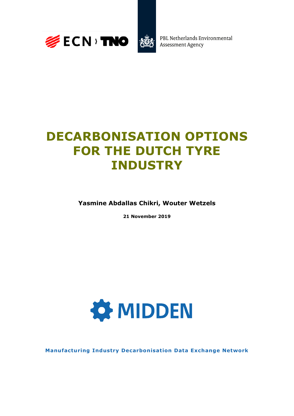



PBL Netherlands Environmental **Assessment Agency** 

# **DECARBONISATION OPTIONS FOR THE DUTCH TYRE INDUSTRY**

**Yasmine Abdallas Chikri, Wouter Wetzels**

**21 November 2019**



**Manufacturing Industry Decarbonisation Data Exchange Network**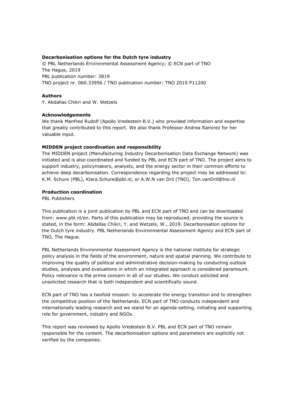#### **Decarbonisation options for the Dutch tyre industry**

© PBL Netherlands Environmental Assessment Agency; © ECN part of TNO The Hague, 2019 PBL publication number: 3819 TNO project nr. 060.33956 / TNO publication number: TNO 2019 P11200

#### **Authors**

Y. Abdallas Chikri and W. Wetzels

#### **Acknowledgements**

We thank Manfred Rudolf (Apollo Vredestein B.V.) who provided information and expertise that greatly contributed to this report. We also thank Professor Andrea Ramirez for her valuable input.

#### **MIDDEN project coordination and responsibility**

The MIDDEN project (Manufacturing Industry Decarbonisation Data Exchange Network) was initiated and is also coordinated and funded by PBL and ECN part of TNO. The project aims to support industry, policymakers, analysts, and the energy sector in their common efforts to achieve deep decarbonisation. Correspondence regarding the project may be addressed to: K.M. Schure (PBL), Klara.Schure@pbl.nl, or A.W.N van Dril (TNO), Ton.vanDril@tno.nl

#### **Production coordination**

PBL Publishers

This publication is a joint publication by PBL and ECN part of TNO and can be downloaded from: www.pbl.nl/en. Parts of this publication may be reproduced, providing the source is stated, in the form: Abdallas Chikri, Y. and Wetzels, W., 2019. Decarbonisation options for the Dutch tyre industry. PBL Netherlands Environmental Assessment Agency and ECN part of TNO, The Hague.

PBL Netherlands Environmental Assessment Agency is the national institute for strategic policy analysis in the fields of the environment, nature and spatial planning. We contribute to improving the quality of political and administrative decision-making by conducting outlook studies, analyses and evaluations in which an integrated approach is considered paramount. Policy relevance is the prime concern in all of our studies. We conduct solicited and unsolicited research that is both independent and scientifically sound.

ECN part of TNO has a twofold mission: to accelerate the energy transition and to strengthen the competitive position of the Netherlands. ECN part of TNO conducts independent and internationally leading research and we stand for an agenda-setting, initiating and supporting role for government, industry and NGOs.

This report was reviewed by Apollo Vredestein B.V. PBL and ECN part of TNO remain responsible for the content. The decarbonisation options and parameters are explicitly not verified by the companies.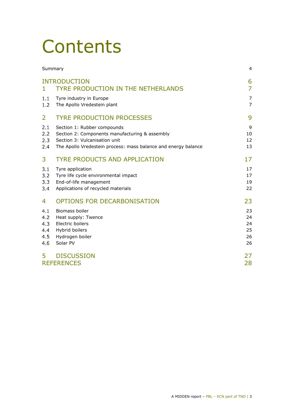# **Contents**

|                                        | Summary                                                                                                                                                                          | 4                                |
|----------------------------------------|----------------------------------------------------------------------------------------------------------------------------------------------------------------------------------|----------------------------------|
| 1.                                     | <b>INTRODUCTION</b><br><b>TYRE PRODUCTION IN THE NETHERLANDS</b>                                                                                                                 | 6<br>$\overline{7}$              |
| 1.1<br>1.2                             | Tyre industry in Europe<br>The Apollo Vredestein plant                                                                                                                           | 7<br>$\overline{7}$              |
| $\overline{2}$                         | <b>TYRE PRODUCTION PROCESSES</b>                                                                                                                                                 | 9                                |
| 2.1<br>2.2<br>2.3<br>2.4               | Section 1: Rubber compounds<br>Section 2: Components manufacturing & assembly<br>Section 3: Vulcanisation unit<br>The Apollo Vredestein process: mass balance and energy balance | 9<br>10<br>12<br>13              |
| 3                                      | <b>TYRE PRODUCTS AND APPLICATION</b>                                                                                                                                             | 17                               |
| 3.1<br>3.2<br>3.3<br>3.4               | Tyre application<br>Tyre life cycle environmental impact<br>End-of-life management<br>Applications of recycled materials                                                         | 17<br>17<br>19<br>22             |
| 4                                      | OPTIONS FOR DECARBONISATION                                                                                                                                                      | 23                               |
| 4.1<br>4.2<br>4.3<br>4.4<br>4.5<br>4.6 | Biomass boiler<br>Heat supply: Twence<br>Electric boilers<br>Hybrid boilers<br>Hydrogen boiler<br>Solar PV                                                                       | 23<br>24<br>24<br>25<br>26<br>26 |
| 5                                      | <b>DISCUSSION</b><br><b>REFERENCES</b>                                                                                                                                           | 27<br>28                         |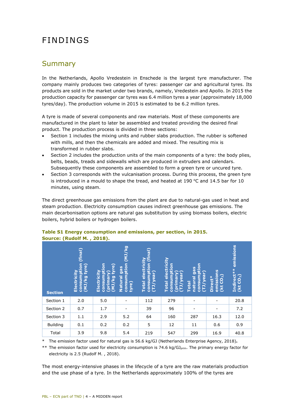# FINDINGS

## <span id="page-3-0"></span>Summary

In the Netherlands, Apollo Vredestein in Enschede is the largest tyre manufacturer. The company mainly produces two categories of tyres: passenger car and agricultural tyres. Its products are sold in the market under two brands, namely, Vredestein and Apollo. In 2015 the production capacity for passenger car tyres was 6.4 million tyres a year (approximately 18,000 tyres/day). The production volume in 2015 is estimated to be 6.2 million tyres.

A tyre is made of several components and raw materials. Most of these components are manufactured in the plant to later be assembled and treated providing the desired final product. The production process is divided in three sections:

- Section 1 includes the mixing units and rubber slabs production. The rubber is softened with mills, and then the chemicals are added and mixed. The resulting mix is transformed in rubber slabs.
- Section 2 includes the production units of the main components of a tyre: the body plies, belts, beads, treads and sidewalls which are produced in extruders and calendars. Subsequently these components are assembled to form a green tyre or uncured tyre.
- Section 3 corresponds with the vulcanisation process. During this process, the green tyre is introduced in a mould to shape the tread, and heated at 190  $°C$  and 14.5 bar for 10 minutes, using steam.

The direct greenhouse gas emissions from the plant are due to natural-gas used in heat and steam production. Electricity consumption causes indirect greenhouse gas emissions. The main decarbonisation options are natural gas substitution by using biomass boilers, electric boilers, hybrid boilers or hydrogen boilers.

| <b>Section</b>  | final)<br>g<br>٥<br>G<br>ö<br>16<br>(MJ/kg)<br>Electri | ã<br>Œ<br>Electrici<br><b>CONSUM</b><br><u>ତ୍ର</u><br><b>m</b><br>(prin<br>2 | <b>D</b><br>$\overline{\Xi}$<br><b>consumption</b><br>gas<br><u>Natural</u><br>tyre) | (final)<br>ectricity<br><b>Consumption</b><br>ear)<br>ŏ<br><b>Total</b><br>B | electricity<br>tion<br>٥<br><b>CONSUM</b><br>w<br>ő<br><b>Total</b><br>ع | lion<br>Se<br>ō<br>in<br>T<br>Ω<br>Œ<br>natura<br><b>Total</b><br>ັທ<br>Ξ<br>P<br>ē | 9<br>issio<br>$\bullet$<br>ect<br>c<br>E<br>ä<br>(kt | emissions<br>Indirect**<br>(kt CO <sub>2</sub> ) |
|-----------------|--------------------------------------------------------|------------------------------------------------------------------------------|--------------------------------------------------------------------------------------|------------------------------------------------------------------------------|--------------------------------------------------------------------------|-------------------------------------------------------------------------------------|------------------------------------------------------|--------------------------------------------------|
| Section 1       | 2.0                                                    | 5.0                                                                          |                                                                                      | 112                                                                          | 279                                                                      |                                                                                     |                                                      | 20.8                                             |
| Section 2       | 0.7                                                    | 1.7                                                                          |                                                                                      | 39                                                                           | 96                                                                       |                                                                                     |                                                      | 7.2                                              |
| Section 3       | 1.1                                                    | 2.9                                                                          | 5.2                                                                                  | 64                                                                           | 160                                                                      | 287                                                                                 | 16.3                                                 | 12.0                                             |
| <b>Building</b> | 0.1                                                    | 0.2                                                                          | 0.2                                                                                  | 5                                                                            | 12                                                                       | 11                                                                                  | 0.6                                                  | 0.9                                              |
| Total           | 3.9                                                    | 9.8                                                                          | 5.4                                                                                  | 219                                                                          | 547                                                                      | 299                                                                                 | 16.9                                                 | 40.8                                             |

## **Table S1 Energy consumption and emissions, per section, in 2015. Source: (Rudolf M. , 2018).**

\* The emission factor used for natural gas is 56.6 kg/GJ (Netherlands Enterprise Agency, 2018)**.** 

\*\* The emission factor used for electricity consumption is 74.6 kg/GJ<sub>prim</sub>. The primary energy factor for electricity is 2.5 (Rudolf M. , 2018).

The most energy-intensive phases in the lifecycle of a tyre are the raw materials production and the use phase of a tyre. In the Netherlands approximately 100% of the tyres are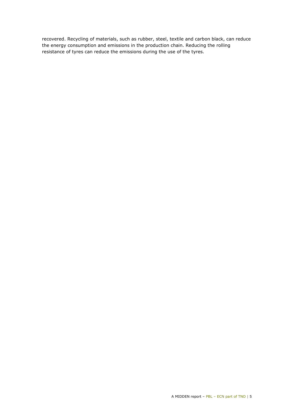recovered. Recycling of materials, such as rubber, steel, textile and carbon black, can reduce the energy consumption and emissions in the production chain. Reducing the rolling resistance of tyres can reduce the emissions during the use of the tyres.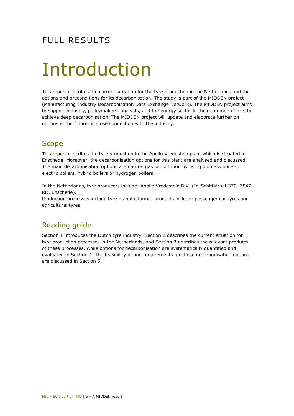# FULL RESULTS

# <span id="page-5-0"></span>Introduction

This report describes the current situation for the tyre production in the Netherlands and the options and preconditions for its decarbonisation. The study is part of the MIDDEN project (Manufacturing Industry Decarbonisation Data Exchange Network). The MIDDEN project aims to support industry, policymakers, analysts, and the energy sector in their common efforts to achieve deep decarbonisation. The MIDDEN project will update and elaborate further on options in the future, in close connection with the industry.

## **Scope**

This report describes the tyre production in the Apollo Vredestein plant which is situated in Enschede. Moreover, the decarbonisation options for this plant are analysed and discussed. The main decarbonisation options are natural gas substitution by using biomass boilers, electric boilers, hybrid boilers or hydrogen boilers.

In the Netherlands, tyre producers include: Apollo Vredestein B.V. (Ir. Schiffstraat 370, 7547 RD, Enschede).

Production processes include tyre manufacturing; products include: passenger car tyres and agricultural tyres.

# Reading guide

Section 1 introduces the Dutch tyre industry. Section 2 describes the current situation for tyre production processes in the Netherlands, and Section 3 describes the relevant products of these processes, while options for decarbonisation are systematically quantified and evaluated in Section 4. The feasibility of and requirements for those decarbonisation options are discussed in Section 5.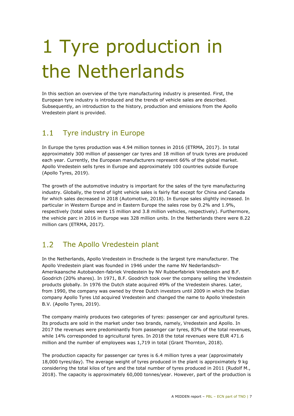# <span id="page-6-0"></span>1 Tyre production in the Netherlands

In this section an overview of the tyre manufacturing industry is presented. First, the European tyre industry is introduced and the trends of vehicle sales are described. Subsequently, an introduction to the history, production and emissions from the Apollo Vredestein plant is provided.

#### <span id="page-6-1"></span> $1.1$ Tyre industry in Europe

In Europe the tyres production was 4.94 million tonnes in 2016 (ETRMA, 2017). In total approximately 300 million of passenger car tyres and 18 million of truck tyres are produced each year. Currently, the European manufacturers represent 66% of the global market. Apollo Vredestein sells tyres in Europe and approximately 100 countries outside Europe (Apollo Tyres, 2019).

The growth of the automotive industry is important for the sales of the tyre manufacturing industry. Globally, the trend of light vehicle sales is fairly flat except for China and Canada for which sales decreased in 2018 (Automotive, 2018). In Europe sales slightly increased. In particular in Western Europe and in Eastern Europe the sales rose by 0.2% and 1.9%, respectively (total sales were 15 million and 3.8 million vehicles, respectively). Furthermore, the vehicle parc in 2016 in Europe was 328 million units. In the Netherlands there were 8.22 million cars (ETRMA, 2017).

#### <span id="page-6-2"></span> $1.2<sub>2</sub>$ The Apollo Vredestein plant

In the Netherlands, Apollo Vredestein in Enschede is the largest tyre manufacturer. The Apollo Vredestein plant was founded in 1946 under the name NV Nederlandsch-Amerikaansche Autobanden-fabriek Vredestein by NV Rubberfabriek Vredestein and B.F. Goodrich (20% shares). In 1971, B.F. Goodrich took over the company selling the Vredestein products globally. In 1976 the Dutch state acquired 49% of the Vredestein shares. Later, from 1990, the company was owned by three Dutch investors until 2009 in which the Indian company Apollo Tyres Ltd acquired Vredestein and changed the name to Apollo Vredestein B.V. (Apollo Tyres, 2019).

The company mainly produces two categories of tyres: passenger car and agricultural tyres. Its products are sold in the market under two brands, namely, Vredestein and Apollo. In 2017 the revenues were predominantly from passenger car tyres, 83% of the total revenues, while 14% corresponded to agricultural tyres. In 2018 the total revenues were EUR 471.6 million and the number of employees was 1,719 in total (Grant Thornton, 2018).

The production capacity for passenger car tyres is 6.4 million tyres a year (approximately 18,000 tyres/day). The average weight of tyres produced in the plant is approximately 9 kg considering the total kilos of tyre and the total number of tyres produced in 2011 (Rudolf M., 2018). The capacity is approximately 60,000 tonnes/year. However, part of the production is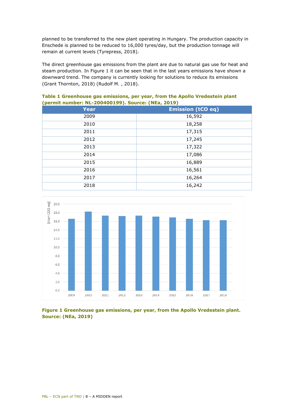planned to be transferred to the new plant operating in Hungary. The production capacity in Enschede is planned to be reduced to 16,000 tyres/day, but the production tonnage will remain at current levels (Tyrepress, 2018).

The direct greenhouse gas emissions from the plant are due to natural gas use for heat and steam production. In Figure 1 it can be seen that in the last years emissions have shown a downward trend. The company is currently looking for solutions to reduce its emissions (Grant Thornton, 2018) (Rudolf M. , 2018).

| <b>Year</b> | <b>Emission (tCO eq)</b> |
|-------------|--------------------------|
| 2009        | 16,592                   |
| 2010        | 18,258                   |
| 2011        | 17,315                   |
| 2012        | 17,245                   |
| 2013        | 17,322                   |
| 2014        | 17,086                   |
| 2015        | 16,889                   |
| 2016        | 16,561                   |
| 2017        | 16,264                   |
| 2018        | 16,242                   |

### **Table 1 Greenhouse gas emissions, per year, from the Apollo Vredestein plant (permit number: NL-200400199). Source: (NEa, 2019)**



**Figure 1 Greenhouse gas emissions, per year, from the Apollo Vredestein plant. Source: (NEa, 2019)**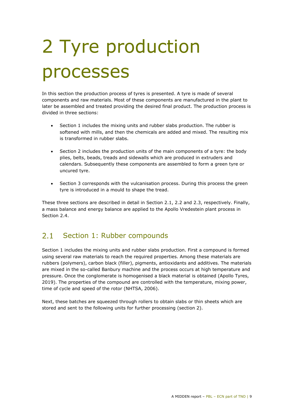# <span id="page-8-0"></span>2 Tyre production processes

In this section the production process of tyres is presented. A tyre is made of several components and raw materials. Most of these components are manufactured in the plant to later be assembled and treated providing the desired final product. The production process is divided in three sections:

- Section 1 includes the mixing units and rubber slabs production. The rubber is softened with mills, and then the chemicals are added and mixed. The resulting mix is transformed in rubber slabs.
- Section 2 includes the production units of the main components of a tyre: the body plies, belts, beads, treads and sidewalls which are produced in extruders and calendars. Subsequently these components are assembled to form a green tyre or uncured tyre.
- Section 3 corresponds with the vulcanisation process. During this process the green tyre is introduced in a mould to shape the tread.

These three sections are described in detail in Section 2.1, 2.2 and 2.3, respectively. Finally, a mass balance and energy balance are applied to the Apollo Vredestein plant process in Section 2.4

#### <span id="page-8-1"></span> $2.1$ Section 1: Rubber compounds

Section 1 includes the mixing units and rubber slabs production. First a compound is formed using several raw materials to reach the required properties. Among these materials are rubbers (polymers), carbon black (filler), pigments, antioxidants and additives. The materials are mixed in the so-called Banbury machine and the process occurs at high temperature and pressure. Once the conglomerate is homogenised a black material is obtained (Apollo Tyres, 2019). The properties of the compound are controlled with the temperature, mixing power, time of cycle and speed of the rotor (NHTSA, 2006).

Next, these batches are squeezed through rollers to obtain slabs or thin sheets which are stored and sent to the following units for further processing (section 2).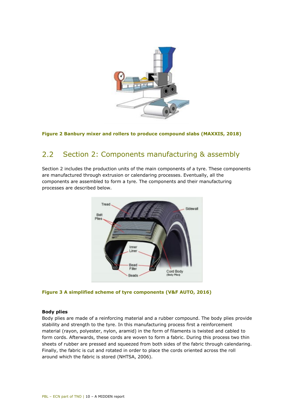

<span id="page-9-0"></span>**Figure 2 Banbury mixer and rollers to produce compound slabs (MAXXIS, 2018)**

#### $2.2$ Section 2: Components manufacturing & assembly

Section 2 includes the production units of the main components of a tyre. These components are manufactured through extrusion or calendaring processes. Eventually, all the components are assembled to form a tyre. The components and their manufacturing processes are described below.



**Figure 3 A simplified scheme of tyre components (V&F AUTO, 2016)**

### **Body plies**

Body plies are made of a reinforcing material and a rubber compound. The body plies provide stability and strength to the tyre. In this manufacturing process first a reinforcement material (rayon, polyester, nylon, aramid) in the form of filaments is twisted and cabled to form cords. Afterwards, these cords are woven to form a fabric. During this process two thin sheets of rubber are pressed and squeezed from both sides of the fabric through calendaring. Finally, the fabric is cut and rotated in order to place the cords oriented across the roll around which the fabric is stored (NHTSA, 2006).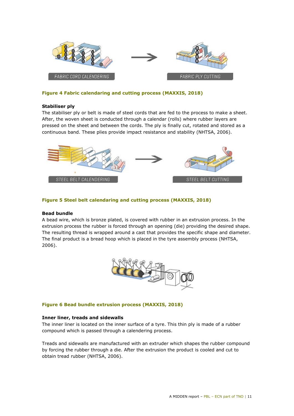

#### **Figure 4 Fabric calendaring and cutting process (MAXXIS, 2018)**

#### **Stabiliser ply**

The stabiliser ply or belt is made of steel cords that are fed to the process to make a sheet. After, the woven sheet is conducted through a calendar (rolls) where rubber layers are pressed on the sheet and between the cords. The ply is finally cut, rotated and stored as a continuous band. These plies provide impact resistance and stability (NHTSA, 2006).



#### **Figure 5 Steel belt calendaring and cutting process (MAXXIS, 2018)**

#### **Bead bundle**

A bead wire, which is bronze plated, is covered with rubber in an extrusion process. In the extrusion process the rubber is forced through an opening (die) providing the desired shape. The resulting thread is wrapped around a cast that provides the specific shape and diameter. The final product is a bread hoop which is placed in the tyre assembly process (NHTSA, 2006).



#### **Figure 6 Bead bundle extrusion process (MAXXIS, 2018)**

#### **Inner liner, treads and sidewalls**

The inner liner is located on the inner surface of a tyre. This thin ply is made of a rubber compound which is passed through a calendering process.

Treads and sidewalls are manufactured with an extruder which shapes the rubber compound by forcing the rubber through a die. After the extrusion the product is cooled and cut to obtain tread rubber (NHTSA, 2006).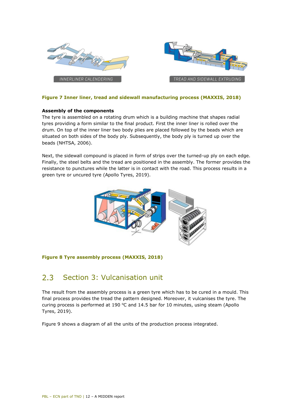

### **Figure 7 Inner liner, tread and sidewall manufacturing process (MAXXIS, 2018)**

#### **Assembly of the components**

The tyre is assembled on a rotating drum which is a building machine that shapes radial tyres providing a form similar to the final product. First the inner liner is rolled over the drum. On top of the inner liner two body plies are placed followed by the beads which are situated on both sides of the body ply. Subsequently, the body ply is turned up over the beads (NHTSA, 2006).

Next, the sidewall compound is placed in form of strips over the turned-up ply on each edge. Finally, the steel belts and the tread are positioned in the assembly. The former provides the resistance to punctures while the latter is in contact with the road. This process results in a green tyre or uncured tyre (Apollo Tyres, 2019).



#### <span id="page-11-0"></span>**Figure 8 Tyre assembly process (MAXXIS, 2018)**

#### $2.3$ Section 3: Vulcanisation unit

The result from the assembly process is a green tyre which has to be cured in a mould. This final process provides the tread the pattern designed. Moreover, it vulcanises the tyre. The curing process is performed at 190  $\degree$ C and 14.5 bar for 10 minutes, using steam (Apollo Tyres, 2019).

Figure 9 shows a diagram of all the units of the production process integrated.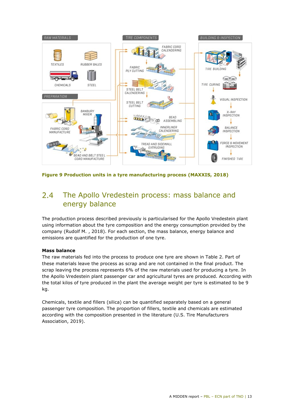

<span id="page-12-0"></span>**Figure 9 Production units in a tyre manufacturing process (MAXXIS, 2018)**

#### The Apollo Vredestein process: mass balance and  $2.4$ energy balance

The production process described previously is particularised for the Apollo Vredestein plant using information about the tyre composition and the energy consumption provided by the company (Rudolf M. , 2018). For each section, the mass balance, energy balance and emissions are quantified for the production of one tyre.

### **Mass balance**

The raw materials fed into the process to produce one tyre are shown in Table 2. Part of these materials leave the process as scrap and are not contained in the final product. The scrap leaving the process represents 6% of the raw materials used for producing a tyre. In the Apollo Vredestein plant passenger car and agricultural tyres are produced. According with the total kilos of tyre produced in the plant the average weight per tyre is estimated to be 9 kg.

Chemicals, textile and fillers (silica) can be quantified separately based on a general passenger tyre composition. The proportion of fillers, textile and chemicals are estimated according with the composition presented in the literature (U.S. Tire Manufacturers Association, 2019).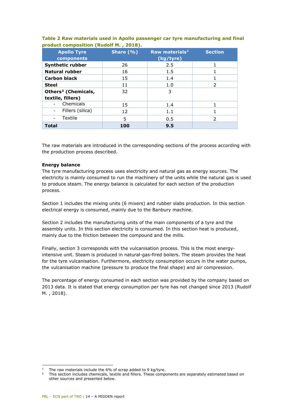| <b>Apollo Tyre</b><br>components                     | Share $(% )$ | Raw materials <sup>1</sup><br>(kg/tyre) | <b>Section</b> |
|------------------------------------------------------|--------------|-----------------------------------------|----------------|
| <b>Synthetic rubber</b>                              | 26           | 2.5                                     |                |
| <b>Natural rubber</b>                                | 16           | 1.5                                     |                |
| <b>Carbon black</b>                                  | 15           | 1.4                                     |                |
| <b>Steel</b>                                         | 11           | 1.0                                     | $\mathcal{P}$  |
| Others <sup>2</sup> (Chemicals,<br>textile, fillers) | 32           | 3                                       |                |
| Chemicals                                            | 15           | 1.4                                     |                |
| Fillers (silica)<br>$\blacksquare$                   | 12           | 1.1                                     |                |
| Textile                                              | 5            | 0.5                                     | $\mathcal{P}$  |
| <b>Total</b>                                         | 100          | 9.5                                     |                |

### **Table 2 Raw materials used in Apollo passenger car tyre manufacturing and final product composition (Rudolf M. , 2018).**

The raw materials are introduced in the corresponding sections of the process according with the production process described.

### **Energy balance**

The tyre manufacturing process uses electricity and natural gas as energy sources. The electricity is mainly consumed to run the machinery of the units while the natural gas is used to produce steam. The energy balance is calculated for each section of the production process.

Section 1 includes the mixing units (6 mixers) and rubber slabs production. In this section electrical energy is consumed, mainly due to the Banbury machine.

Section 2 includes the manufacturing units of the main components of a tyre and the assembly units. In this section electricity is consumed. In this section heat is produced, mainly due to the friction between the compound and the mills.

Finally, section 3 corresponds with the vulcanisation process. This is the most energyintensive unit. Steam is produced in natural-gas-fired boilers. The steam provides the heat for the tyre vulcanisation. Furthermore, electricity consumption occurs in the water pumps, the vulcanisation machine (pressure to produce the final shape) and air compression.

The percentage of energy consumed in each section was provided by the company based on 2013 data. It is stated that energy consumption per tyre has not changed since 2013 (Rudolf M. , 2018).

<sup>-</sup><sup>1</sup> The raw materials include the 6% of scrap added to 9 kg/tyre.<br><sup>2</sup> This section includes showingle, to tile and fillow These same.

<span id="page-13-0"></span><sup>2</sup> This section includes chemicals, textile and fillers. These components are separately estimated based on other sources and presented below.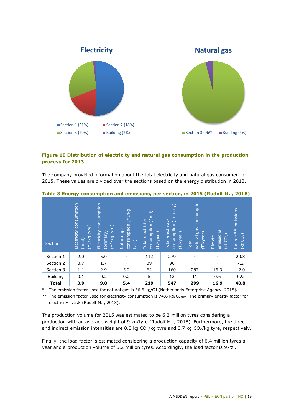

## **Figure 10 Distribution of electricity and natural gas consumption in the production process for 2013**

The company provided information about the total electricity and natural gas consumed in 2015. These values are divided over the sections based on the energy distribution in 2013.

| Section         | consumption<br>tyre)<br>Electricity<br>by/rw)<br>(final) | consumption<br>tyre)<br>Electricity<br>(primary)<br>6y/(N) | 6y/(N)<br>consumption<br>gas<br>Natural<br>tyre) | consumption (final)<br><b>Total electricity</b><br>$(1)$ /year) | (primark)<br>Total electricity<br>consumption<br>(IJ/leaf) | consumption<br>gas<br>(IJ/ear)<br>hatural<br><b>Total</b> | emissions<br>(kt CO <sub>2</sub> )<br>Direct* | emissions<br>Indirect**<br>(kt CO <sub>2</sub> ) |
|-----------------|----------------------------------------------------------|------------------------------------------------------------|--------------------------------------------------|-----------------------------------------------------------------|------------------------------------------------------------|-----------------------------------------------------------|-----------------------------------------------|--------------------------------------------------|
| Section 1       | 2.0                                                      | 5.0                                                        | ۰                                                | 112                                                             | 279                                                        | $\overline{\phantom{a}}$                                  |                                               | 20.8                                             |
| Section 2       | 0.7                                                      | 1.7                                                        |                                                  | 39                                                              | 96                                                         |                                                           |                                               | 7.2                                              |
| Section 3       | 1.1                                                      | 2.9                                                        | 5.2                                              | 64                                                              | 160                                                        | 287                                                       | 16.3                                          | 12.0                                             |
| <b>Building</b> | 0.1                                                      | 0.2                                                        | 0.2                                              | 5                                                               | 12                                                         | 11                                                        | 0.6                                           | 0.9                                              |
| <b>Total</b>    | 3.9                                                      | 9.8                                                        | 5.4                                              | 219                                                             | 547                                                        | 299                                                       | 16.9                                          | 40.8                                             |

#### **Table 3 Energy consumption and emissions, per section, in 2015 (Rudolf M. , 2018)**

\* The emission factor used for natural gas is 56.6 kg/GJ (Netherlands Enterprise Agency, 2018)**.** 

\*\* The emission factor used for electricity consumption is 74.6 kg/GJ<sub>prim</sub>. The primary energy factor for electricity is 2.5 (Rudolf M. , 2018).

The production volume for 2015 was estimated to be 6.2 million tyres considering a production with an average weight of 9 kg/tyre (Rudolf M. , 2018). Furthermore, the direct and indirect emission intensities are 0.3 kg  $CO<sub>2</sub>/kq$  tyre and 0.7 kg  $CO<sub>2</sub>/kq$  tyre, respectively.

Finally, the load factor is estimated considering a production capacity of 6.4 million tyres a year and a production volume of 6.2 million tyres. Accordingly, the load factor is 97%.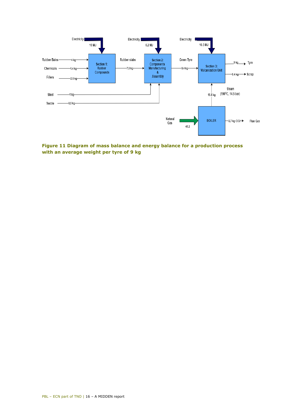![](_page_15_Figure_0.jpeg)

**Figure 11 Diagram of mass balance and energy balance for a production process with an average weight per tyre of 9 kg**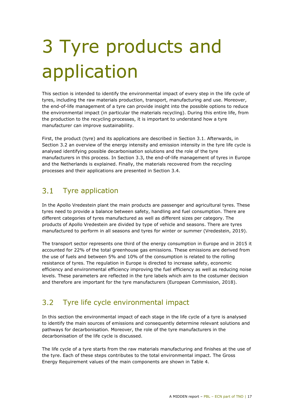# <span id="page-16-0"></span>3 Tyre products and application

This section is intended to identify the environmental impact of every step in the life cycle of tyres, including the raw materials production, transport, manufacturing and use. Moreover, the end-of-life management of a tyre can provide insight into the possible options to reduce the environmental impact (in particular the materials recycling). During this entire life, from the production to the recycling processes, it is important to understand how a tyre manufacturer can improve sustainability.

First, the product (tyre) and its applications are described in Section 3.1. Afterwards, in Section 3.2 an overview of the energy intensity and emission intensity in the tyre life cycle is analysed identifying possible decarbonisation solutions and the role of the tyre manufacturers in this process. In Section 3.3, the end-of-life management of tyres in Europe and the Netherlands is explained. Finally, the materials recovered from the recycling processes and their applications are presented in Section 3.4.

#### <span id="page-16-1"></span> $3.1$ Tyre application

In the Apollo Vredestein plant the main products are passenger and agricultural tyres. These tyres need to provide a balance between safety, handling and fuel consumption. There are different categories of tyres manufactured as well as different sizes per category. The products of Apollo Vredestein are divided by type of vehicle and seasons. There are tyres manufactured to perform in all seasons and tyres for winter or summer (Vredestein, 2019).

The transport sector represents one third of the energy consumption in Europe and in 2015 it accounted for 22% of the total greenhouse gas emissions. These emissions are derived from the use of fuels and between 5% and 10% of the consumption is related to the rolling resistance of tyres. The regulation in Europe is directed to increase safety, economic efficiency and environmental efficiency improving the fuel efficiency as well as reducing noise levels. These parameters are reflected in the tyre labels which aim to the costumer decision and therefore are important for the tyre manufacturers (European Commission, 2018).

#### <span id="page-16-2"></span> $3.2$ Tyre life cycle environmental impact

In this section the environmental impact of each stage in the life cycle of a tyre is analysed to identify the main sources of emissions and consequently determine relevant solutions and pathways for decarbonisation. Moreover, the role of the tyre manufacturers in the decarbonisation of the life cycle is discussed.

The life cycle of a tyre starts from the raw materials manufacturing and finishes at the use of the tyre. Each of these steps contributes to the total environmental impact. The Gross Energy Requirement values of the main components are shown in Table 4.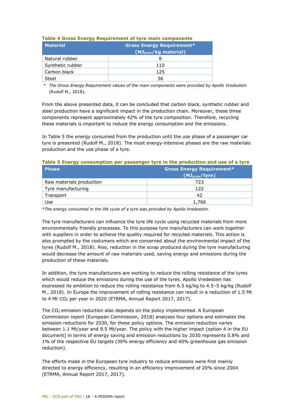| <b>Material</b>  | <b>Gross Energy Requirement*</b><br>(MJ <sub>prim</sub> /kg material) |
|------------------|-----------------------------------------------------------------------|
| Natural rubber   |                                                                       |
| Synthetic rubber | 110                                                                   |
| Carbon black     | 125                                                                   |
| Steel            | 36                                                                    |

### **Table 4 Gross Energy Requirement of tyre main components**

 *\* The Gross Energy Requirement values of the main components were provided by Apollo Vredestein*  (Rudolf M., 2018)*.* 

From the above presented data, it can be concluded that carbon black, synthetic rubber and steel production have a significant impact in the production chain. Moreover, these three components represent approximately 42% of the tyre composition. Therefore, recycling these materials is important to reduce the energy consumption and the emissions.

In Table 5 the energy consumed from the production until the use phase of a passenger car tyre is presented (Rudolf M., 2018). The most energy-intensive phases are the raw materials production and the use phase of a tyre.

### **Table 5 Energy consumption per passenger tyre in the production and use of a tyre**

| <b>Phase</b>             | <b>Gross Energy Requirement*</b><br>(MJ <sub>prim</sub> /tyre) |
|--------------------------|----------------------------------------------------------------|
| Raw materials production | 723                                                            |
| Tyre manufacturing       | 122                                                            |
| Transport                | 42                                                             |
| Use                      | 1,766                                                          |

*\*The energy consumed in the life cycle of a tyre was provided by Apollo Vredestein.* 

The tyre manufacturers can influence the tyre life cycle using recycled materials from more environmentally friendly processes. To this purpose tyre manufacturers can work together with suppliers in order to achieve the quality required for recycled materials. This action is also prompted by the costumers which are concerned about the environmental impact of the tyres (Rudolf M., 2018). Also, reduction in the scrap produced during the tyre manufacturing would decrease the amount of raw materials used, saving energy and emissions during the production of these materials.

In addition, the tyre manufacturers are working to reduce the rolling resistance of the tyres which would reduce the emissions during the use of the tyres. Apollo Vredestein has expressed its ambition to reduce the rolling resistance from 6.5 kg/kg to 4.5–5 kg/kg (Rudolf M., 2018). In Europe the improvement of rolling resistance can result in a reduction of 1.5 Mt to 4 Mt CO2 per year in 2020 (ETRMA, Annual Report 2017, 2017).

The CO<sub>2</sub> emission reduction also depends on the policy implemented. A European Commission report (European Commission, 2018) analyses four options and estimates the emission reductions for 2030, for these policy options. The emission reduction varies between 1.1 Mt/year and 9.5 Mt/year. The policy with the higher impact (option 4 in the EU document) in terms of energy saving and emission reductions by 2030 represents 0.8% and 1% of the respective EU targets (30% energy efficiency and 40% greenhouse gas emission reduction).

The efforts made in the European tyre industry to reduce emissions were first mainly directed to energy efficiency, resulting in an efficiency improvement of 20% since 2004 (ETRMA, Annual Report 2017, 2017).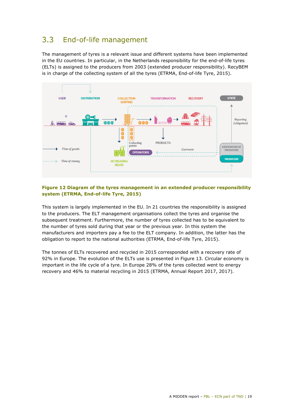#### <span id="page-18-0"></span>End-of-life management  $3.3$

The management of tyres is a relevant issue and different systems have been implemented in the EU countries. In particular, in the Netherlands responsibility for the end-of-life tyres (ELTs) is assigned to the producers from 2003 (extended producer responsibility). RecyBEM is in charge of the collecting system of all the tyres (ETRMA, End-of-life Tyre, 2015).

![](_page_18_Figure_2.jpeg)

#### **Figure 12 Diagram of the tyres management in an extended producer responsibility system (ETRMA, End-of-life Tyre, 2015)**

This system is largely implemented in the EU. In 21 countries the responsibility is assigned to the producers. The ELT management organisations collect the tyres and organise the subsequent treatment. Furthermore, the number of tyres collected has to be equivalent to the number of tyres sold during that year or the previous year. In this system the manufacturers and importers pay a fee to the ELT company. In addition, the latter has the obligation to report to the national authorities (ETRMA, End-of-life Tyre, 2015).

The tonnes of ELTs recovered and recycled in 2015 corresponded with a recovery rate of 92% in Europe. The evolution of the ELTs use is presented in Figure 13. Circular economy is important in the life cycle of a tyre. In Europe 28% of the tyres collected went to energy recovery and 46% to material recycling in 2015 (ETRMA, Annual Report 2017, 2017).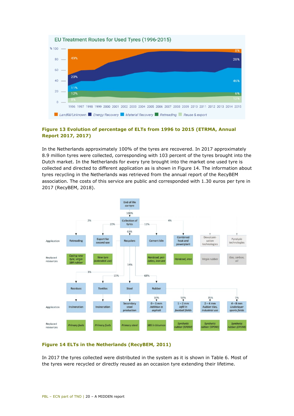![](_page_19_Figure_0.jpeg)

## **Figure 13 Evolution of percentage of ELTs from 1996 to 2015 (ETRMA, Annual Report 2017, 2017)**

In the Netherlands approximately 100% of the tyres are recovered. In 2017 approximately 8.9 million tyres were collected, corresponding with 103 percent of the tyres brought into the Dutch market. In the Netherlands for every tyre brought into the market one used tyre is collected and directed to different application as is shown in Figure 14. The information about tyres recycling in the Netherlands was retrieved from the annual report of the RecyBEM association. The costs of this service are public and corresponded with 1.30 euros per tyre in 2017 (RecyBEM, 2018).

![](_page_19_Figure_3.jpeg)

### **Figure 14 ELTs in the Netherlands (RecyBEM, 2011)**

In 2017 the tyres collected were distributed in the system as it is shown in Table 6. Most of the tyres were recycled or directly reused as an occasion tyre extending their lifetime.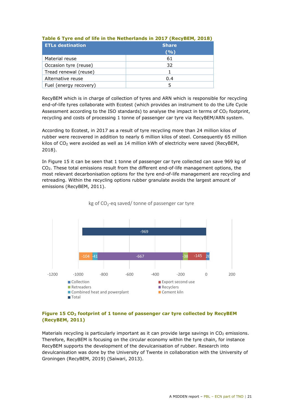| <b>ETLs destination</b> | <b>Share</b> |  |
|-------------------------|--------------|--|
|                         | (9/6)        |  |
| Material reuse          | 61           |  |
| Occasion tyre (reuse)   | 32           |  |
| Tread renewal (reuse)   |              |  |
| Alternative reuse       | 0.4          |  |
| Fuel (energy recovery)  |              |  |

## **Table 6 Tyre end of life in the Netherlands in 2017 (RecyBEM, 2018)**

RecyBEM which is in charge of collection of tyres and ARN which is responsible for recycling end-of-life tyres collaborate with Ecotest (which provides an instrument to do the Life Cycle Assessment according to the ISO standards) to analyse the impact in terms of  $CO<sub>2</sub>$  footprint, recycling and costs of processing 1 tonne of passenger car tyre via RecyBEM/ARN system.

According to Ecotest, in 2017 as a result of tyre recycling more than 24 million kilos of rubber were recovered in addition to nearly 6 million kilos of steel. Consequently 65 million kilos of  $CO<sub>2</sub>$  were avoided as well as 14 million kWh of electricity were saved (RecyBEM, 2018).

In Figure 15 it can be seen that 1 tonne of passenger car tyre collected can save 969 kg of CO2. These total emissions result from the different end-of-life management options, the most relevant decarbonisation options for the tyre end-of-life management are recycling and retreading. Within the recycling options rubber granulate avoids the largest amount of emissions (RecyBEM, 2011).

![](_page_20_Figure_5.jpeg)

![](_page_20_Figure_6.jpeg)

## **Figure 15 CO<sub>2</sub> footprint of 1 tonne of passenger car tyre collected by RecyBEM (RecyBEM, 2011)**

Materials recycling is particularly important as it can provide large savings in  $CO<sub>2</sub>$  emissions. Therefore, RecyBEM is focusing on the circular economy within the tyre chain, for instance RecyBEM supports the development of the devulcanisation of rubber. Research into devulcanisation was done by the University of Twente in collaboration with the University of Groningen (RecyBEM, 2019) (Saiwari, 2013).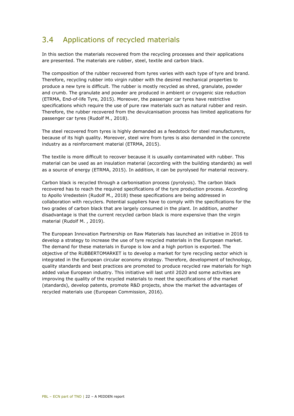#### <span id="page-21-0"></span>Applications of recycled materials  $3.4$

In this section the materials recovered from the recycling processes and their applications are presented. The materials are rubber, steel, textile and carbon black.

The composition of the rubber recovered from tyres varies with each type of tyre and brand. Therefore, recycling rubber into virgin rubber with the desired mechanical properties to produce a new tyre is difficult. The rubber is mostly recycled as shred, granulate, powder and crumb. The granulate and powder are produced in ambient or cryogenic size reduction (ETRMA, End-of-life Tyre, 2015). Moreover, the passenger car tyres have restrictive specifications which require the use of pure raw materials such as natural rubber and resin. Therefore, the rubber recovered from the devulcanisation process has limited applications for passenger car tyres (Rudolf M., 2018).

The steel recovered from tyres is highly demanded as a feedstock for steel manufacturers, because of its high quality. Moreover, steel wire from tyres is also demanded in the concrete industry as a reinforcement material (ETRMA, 2015).

The textile is more difficult to recover because it is usually contaminated with rubber. This material can be used as an insulation material (according with the building standards) as well as a source of energy (ETRMA, 2015). In addition, it can be pyrolysed for material recovery.

Carbon black is recycled through a carbonisation process (pyrolysis). The carbon black recovered has to reach the required specifications of the tyre production process. According to Apollo Vredestein (Rudolf M., 2018) these specifications are being addressed in collaboration with recyclers. Potential suppliers have to comply with the specifications for the two grades of carbon black that are largely consumed in the plant. In addition, another disadvantage is that the current recycled carbon black is more expensive than the virgin material (Rudolf M. , 2019).

The European Innovation Partnership on Raw Materials has launched an initiative in 2016 to develop a strategy to increase the use of tyre recycled materials in the European market. The demand for these materials in Europe is low and a high portion is exported. The objective of the RUBBERTOMARKET is to develop a market for tyre recycling sector which is integrated in the European circular economy strategy. Therefore, development of technology, quality standards and best practices are promoted to produce recycled raw materials for high added value European industry. This initiative will last until 2020 and some activities are improving the quality of the recycled materials to meet the specifications of the market (standards), develop patents, promote R&D projects, show the market the advantages of recycled materials use (European Commission, 2016).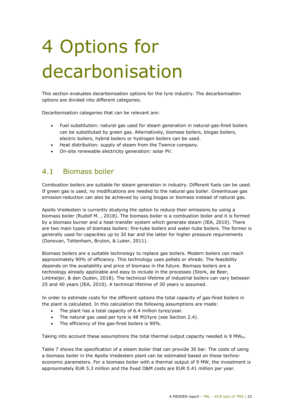# <span id="page-22-0"></span>4 Options for decarbonisation

This section evaluates decarbonisation options for the tyre industry. The decarbonisation options are divided into different categories.

Decarbonisation categories that can be relevant are:

- Fuel substitution: natural gas used for steam generation in natural-gas-fired boilers can be substituted by green gas. Alternatively, biomass boilers, biogas boilers, electric boilers, hybrid boilers or hydrogen boilers can be used.
- Heat distribution: supply of steam from the Twence company.
- <span id="page-22-1"></span>• On-site renewable electricity generation: solar PV.

#### $41$ Biomass boiler

Combustion boilers are suitable for steam generation in industry. Different fuels can be used. If green gas is used, no modifications are needed to the natural gas boiler. Greenhouse gas emission reduction can also be achieved by using biogas or biomass instead of natural gas.

Apollo Vredestein is currently studying the option to reduce their emissions by using a biomass boiler (Rudolf M. , 2018). The biomass boiler is a combustion boiler and it is formed by a biomass burner and a heat-transfer system which generate steam (IEA, 2010). There are two main types of biomass boilers: fire-tube boilers and water-tube boilers. The former is generally used for capacities up to 30 bar and the latter for higher pressure requirements (Donovan, Tottenham, Bruton, & Luker, 2011).

Biomass boilers are a suitable technology to replace gas boilers. Modern boilers can reach approximately 90% of efficiency. This technology uses pellets or shreds. The feasibility depends on the availability and price of biomass in the future. Biomass boilers are a technology already applicable and easy to include in the processes (Stork, de Beer, Lintmeijer, & den Ouden, 2018). The technical lifetime of industrial boilers can vary between 25 and 40 years (IEA, 2010). A technical lifetime of 30 years is assumed.

In order to estimate costs for the different options the total capacity of gas-fired boilers in the plant is calculated. In this calculation the following assumptions are made:

- The plant has a total capacity of 6.4 million tyres/year.
- The natural gas used per tyre is 48 MJ/tyre (see Section 2.4).
- The efficiency of the gas-fired boilers is 90%.

Taking into account these assumptions the total thermal output capacity needed is 9 MWth.

Table 7 shows the specification of a steam boiler that can provide 30 bar. The costs of using a biomass boiler in the Apollo Vredestein plant can be estimated based on these technoeconomic parameters. For a biomass boiler with a thermal output of 9 MW, the investment is approximately EUR 5.3 million and the fixed O&M costs are EUR 0.41 million per year.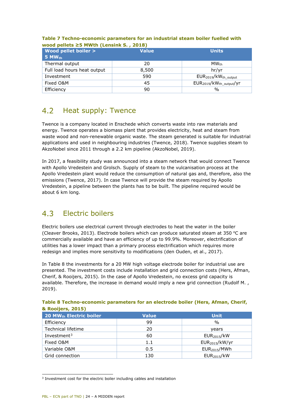| Wood pellet boiler ><br>$5$ MW $_{\rm th}$ | <b>Value</b> | <b>Units</b>            |
|--------------------------------------------|--------------|-------------------------|
| Thermal output                             | 20           | $MW_{th}$               |
| Full load hours heat output                | 8,500        | hr/yr                   |
| Investment                                 | 590          | $EUR2019/kWth_output$   |
| Fixed O&M                                  | 45           | $EUR2019/kWthoutput/yr$ |
| Efficiency                                 | 90           | $\%$                    |

## **Table 7 Techno-economic parameters for an industrial steam boiler fuelled with wood pellets ≥5 MWth (Lensink S. , 2018)**

#### <span id="page-23-0"></span> $4.2$ Heat supply: Twence

Twence is a company located in Enschede which converts waste into raw materials and energy. Twence operates a biomass plant that provides electricity, heat and steam from waste wood and non-renewable organic waste. The steam generated is suitable for industrial applications and used in neighbouring industries (Twence, 2018). Twence supplies steam to AkzoNobel since 2011 through a 2.2 km pipeline (AkzoNobel, 2019).

In 2017, a feasibility study was announced into a steam network that would connect Twence with Apollo Vredestein and Grolsch. Supply of steam to the vulcanisation process at the Apollo Vredestein plant would reduce the consumption of natural gas and, therefore, also the emissions (Twence, 2017). In case Twence will provide the steam required by Apollo Vredestein, a pipeline between the plants has to be built. The pipeline required would be about 6 km long.

#### <span id="page-23-1"></span> $4.3$ Electric boilers

Electric boilers use electrical current through electrodes to heat the water in the boiler (Cleaver Brooks, 2013). Electrode boilers which can produce saturated steam at 350  $^{\circ}$ C are commercially available and have an efficiency of up to 99.9%. Moreover, electrification of utilities has a lower impact than a primary process electrification which requires more redesign and implies more sensitivity to modifications (den Ouden, et al., 2017).

In Table 8 the investments for a 20 MW high voltage electrode boiler for industrial use are presented. The investment costs include installation and grid connection costs (Hers, Afman, Cherif, & Rooijers, 2015). In the case of Apollo Vredestein, no excess grid capacity is available. Therefore, the increase in demand would imply a new grid connection (Rudolf M. , 2019).

| $x$ Novijers, 2019)                 |              |                            |  |  |
|-------------------------------------|--------------|----------------------------|--|--|
| 20 MW <sub>th</sub> Electric boiler | <b>Value</b> | <b>Unit</b>                |  |  |
| Efficiency                          | 99           | $\%$                       |  |  |
| <b>Technical lifetime</b>           | 20           | years                      |  |  |
| Investment <sup>3</sup>             | 60           | EUR <sub>2015</sub> /kW    |  |  |
| Fixed O&M                           | 1.1          | EUR <sub>2015</sub> /kW/yr |  |  |
| Variable O&M                        | 0.5          | EUR <sub>2015</sub> /MWh   |  |  |
| Grid connection                     | 130          | EUR <sub>2015</sub> /kW    |  |  |

#### **Table 8 Techno-economic parameters for an electrode boiler (Hers, Afman, Cherif, & Rooijers, 2015)**

<span id="page-23-2"></span>i, <sup>3</sup> Investment cost for the electric boiler including cables and installation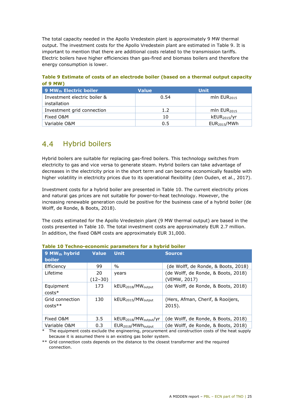The total capacity needed in the Apollo Vredestein plant is approximately 9 MW thermal output. The investment costs for the Apollo Vredestein plant are estimated in Table 9. It is important to mention that there are additional costs related to the transmission tariffs. Electric boilers have higher efficiencies than gas-fired and biomass boilers and therefore the energy consumption is lower.

**Table 9 Estimate of costs of an electrode boiler (based on a thermal output capacity of 9 MW)**

| . 9 MW <sub>th</sub> Electric boiler <b>S</b> | <b>Value</b> | <b>Unit</b>              |
|-----------------------------------------------|--------------|--------------------------|
| Investment electric boiler &                  | 0.54         | mln $EUR2015$            |
| installation                                  |              |                          |
| Investment grid connection                    | 1.2          | mln $EUR2015$            |
| Fixed O&M                                     | 10           | kEUR <sub>2015</sub> /yr |
| Variable O&M                                  | 0.5          | EUR <sub>2015</sub> /MWh |

# <span id="page-24-0"></span>4.4 Hybrid boilers

Hybrid boilers are suitable for replacing gas-fired boilers. This technology switches from electricity to gas and vice versa to generate steam. Hybrid boilers can take advantage of decreases in the electricity price in the short term and can become economically feasible with higher volatility in electricity prices due to its operational flexibility (den Ouden, et al., 2017).

Investment costs for a hybrid boiler are presented in Table 10. The current electricity prices and natural gas prices are not suitable for power-to-heat technology. However, the increasing renewable generation could be positive for the business case of a hybrid boiler (de Wolff, de Ronde, & Boots, 2018).

The costs estimated for the Apollo Vredestein plant (9 MW thermal output) are based in the costs presented in Table 10. The total investment costs are approximately EUR 2.7 million. In addition, the fixed O&M costs are approximately EUR 31,000.

| 9 MW <sub>th</sub> hybrid<br><b>boiler</b> | <b>Value</b>  | <b>Unit</b>                                    | <b>Source</b>                                       |
|--------------------------------------------|---------------|------------------------------------------------|-----------------------------------------------------|
| Efficiency                                 | 99            | $\%$                                           | (de Wolff, de Ronde, & Boots, 2018)                 |
| Lifetime                                   | 20<br>(12–30) | years                                          | (de Wolff, de Ronde, & Boots, 2018)<br>(VEMW, 2017) |
| Equipment<br>$costs*$                      | 173           | kEUR <sub>2018</sub> /MW <sub>output</sub>     | (de Wolff, de Ronde, & Boots, 2018)                 |
| Grid connection<br>$costs**$               | 130           | kEUR <sub>2015</sub> /MW <sub>output</sub>     | (Hers, Afman, Cherif, & Rooijers,<br>$2015$ ).      |
| Fixed O&M                                  | 3.5           | kEUR <sub>2018</sub> /MW <sub>output</sub> /yr | (de Wolff, de Ronde, & Boots, 2018)                 |
| Variable O&M                               | 0.3           | EUR <sub>2018</sub> /MWh <sub>output</sub>     | (de Wolff, de Ronde, & Boots, 2018)                 |

**Table 10 Techno-economic parameters for a hybrid boiler**

\* The equipment costs exclude the engineering, procurement and construction costs of the heat supply because it is assumed there is an existing gas boiler system.

\*\* Grid connection costs depends on the distance to the closest transformer and the required connection.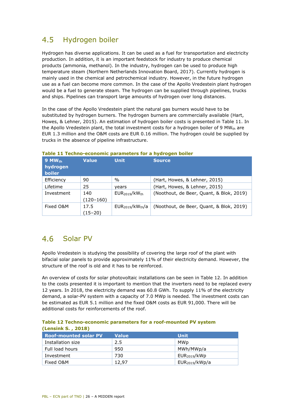#### <span id="page-25-0"></span> $4.5$ Hydrogen boiler

Hydrogen has diverse applications. It can be used as a fuel for transportation and electricity production. In addition, it is an important feedstock for industry to produce chemical products (ammonia, methanol). In the industry, hydrogen can be used to produce high temperature steam (Northern Netherlands Innovation Board, 2017). Currently hydrogen is mainly used in the chemical and petrochemical industry. However, in the future hydrogen use as a fuel can become more common. In the case of the Apollo Vredestein plant hydrogen would be a fuel to generate steam. The hydrogen can be supplied through pipelines, trucks and ships. Pipelines can transport large amounts of hydrogen over long distances.

In the case of the Apollo Vredestein plant the natural gas burners would have to be substituted by hydrogen burners. The hydrogen burners are commercially available (Hart, Howes, & Lehner, 2015). An estimation of hydrogen boiler costs is presented in Table 11. In the Apollo Vredestein plant, the total investment costs for a hydrogen boiler of 9 MWth are EUR 1.3 million and the O&M costs are EUR 0.16 million. The hydrogen could be supplied by trucks in the absence of pipeline infrastructure.

| $9$ MW <sub>th</sub><br>hydrogen<br><b>boiler</b> | <b>Value</b>       | <b>Unit</b>                              | <b>Source</b>                            |
|---------------------------------------------------|--------------------|------------------------------------------|------------------------------------------|
| Efficiency                                        | 90                 | $\%$                                     | (Hart, Howes, & Lehner, 2015)            |
| Lifetime                                          | 25                 | years                                    | (Hart, Howes, & Lehner, 2015)            |
| Investment                                        | 140<br>$(120-160)$ | EUR <sub>2019</sub> /kW <sub>th</sub>    | (Noothout, de Beer, Quant, & Blok, 2019) |
| Fixed O&M                                         | 17.5<br>(15–20)    | EUR <sub>2019</sub> /kW <sub>th</sub> /a | (Noothout, de Beer, Quant, & Blok, 2019) |

### **Table 11 Techno-economic parameters for a hydrogen boiler**

## <span id="page-25-1"></span>Solar PV

Apollo Vredestein is studying the possibility of covering the large roof of the plant with bifacial solar panels to provide approximately 11% of their electricity demand. However, the structure of the roof is old and it has to be reinforced.

An overview of costs for solar photovoltaic installations can be seen in Table 12. In addition to the costs presented it is important to mention that the inverters need to be replaced every 12 years. In 2018, the electricity demand was 60.8 GWh. To supply 11% of the electricity demand, a solar-PV system with a capacity of 7.0 MWp is needed. The investment costs can be estimated as EUR 5.1 million and the fixed O&M costs as EUR 91,000. There will be additional costs for reinforcements of the roof.

|                    |  | Table 12 Techno-economic parameters for a roof-mounted PV system |
|--------------------|--|------------------------------------------------------------------|
| (Lensink S., 2018) |  |                                                                  |

<span id="page-25-2"></span>

| <b>Roof-mounted solar PV</b> | <b>Value</b> | <b>Unit</b>                |
|------------------------------|--------------|----------------------------|
| Installation size            | 2.5          | MWp                        |
| Full load hours              | 950          | MWh/MWp/a                  |
| Investment                   | 730          | EUR <sub>2019</sub> /kWD   |
| Fixed O&M                    | 12.97        | EUR <sub>2019</sub> /kWp/a |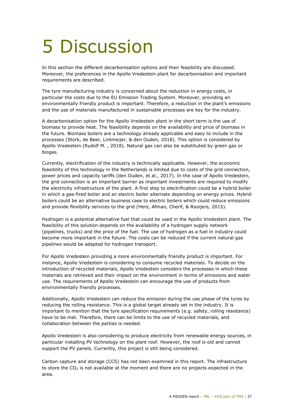# <span id="page-26-0"></span>5 Discussion

In this section the different decarbonisation options and their feasibility are discussed. Moreover, the preferences in the Apollo Vredestein plant for decarbonisation and important requirements are described.

The tyre manufacturing industry is concerned about the reduction in energy costs, in particular the costs due to the EU Emission Trading System. Moreover, providing an environmentally friendly product is important. Therefore, a reduction in the plant's emissions and the use of materials manufactured in sustainable processes are key for the industry.

A decarbonisation option for the Apollo Vredestein plant in the short term is the use of biomass to provide heat. The feasibility depends on the availability and price of biomass in the future. Biomass boilers are a technology already applicable and easy to include in the processes (Stork, de Beer, Lintmeijer, & den Ouden, 2018). This option is considered by Apollo Vredestein (Rudolf M. , 2018). Natural gas can also be substituted by green gas or biogas.

Currently, electrification of the industry is technically applicable. However, the economic feasibility of this technology in the Netherlands is limited due to costs of the grid connection, power prices and capacity tariffs (den Ouden, et al., 2017). In the case of Apollo Vredestein, the grid connection is an important barrier as important investments are required to modify the electricity infrastructure of the plant. A first step to electrification could be a hybrid boiler in which a gas-fired boiler and an electric boiler alternate depending on energy prices. Hybrid boilers could be an alternative business case to electric boilers which could reduce emissions and provide flexibility services to the grid (Hers, Afman, Cherif, & Rooijers, 2015).

Hydrogen is a potential alternative fuel that could be used in the Apollo Vredestein plant. The feasibility of this solution depends on the availability of a hydrogen supply network (pipelines, trucks) and the price of the fuel. The use of hydrogen as a fuel in industry could become more important in the future. The costs can be reduced if the current natural gas pipelines would be adapted for hydrogen transport.

For Apollo Vredestein providing a more environmentally friendly product is important. For instance, Apollo Vredestein is considering to consume recycled materials. To decide on the introduction of recycled materials, Apollo Vredestein considers the processes in which these materials are retrieved and their impact on the environment in terms of emissions and water use. The requirements of Apollo Vredestein can encourage the use of products from environmentally friendly processes.

Additionally, Apollo Vredestein can reduce the emission during the use phase of the tyres by reducing the rolling resistance. This is a global target already set in the industry. It is important to mention that the tyre specification requirements (e.g. safety, rolling resistance) have to be met. Therefore, there can be limits to the use of recycled materials, and collaboration between the parties is needed.

Apollo Vredestein is also considering to produce electricity from renewable energy sources, in particular installing PV technology on the plant roof. However, the roof is old and cannot support the PV panels. Currently, this project is still being considered.

Carbon capture and storage (CCS) has not been examined in this report. The infrastructure to store the  $CO<sub>2</sub>$  is not available at the moment and there are no projects expected in the area.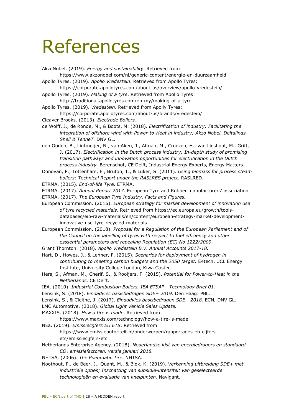# <span id="page-27-0"></span>References

AkzoNobel. (2019). *Energy and sustainability*. Retrieved from

- https://www.akzonobel.com/nl/generic-content/energie-en-duurzaamheid Apollo Tyres. (2019). *Apollo Vredestein*. Retrieved from Apollo Tyres:
- https://corporate.apollotyres.com/about-us/overview/apollo-vredestein/
- Apollo Tyres. (2019). *Making of a tyre*. Retrieved from Apollo Tyres: http://traditional.apollotyres.com/en-my/making-of-a-tyre
- Apollo Tyres. (2019). *Vredestein*. Retrieved from Apolly Tyres: https://corporate.apollotyres.com/about-us/brands/vredestein/
- Cleaver Brooks. (2013). *Electrode Boilers.*
- de Wolff, J., de Ronde, M., & Boots, M. (2018). *Electrification of industry; Facilitating the integration of offshore wind with Power-to-Heat in industry; Akzo Nobel, Deltalinqs, Shell & TenneT.* DNV GL.
- den Ouden, B., Lintmeijer, N., van Aken, J., Afman, M., Croezen, H., van Lieshout, M., Grift, J. (2017). *Electrification in the Dutch process industry; In-depth study of promising transition pathways and innovation opportunities for electrification in the Dutch process industry.* Berenschot, CE Delft, Industrial Energy Experts, Energy Matters.
- Donovan, P., Tottenham, F., Bruton, T., & Luker, S. (2011). *Using biomass for process steam boilers; Technical Report under the RASLRES project.* RASLRED.
- ETRMA. (2015). *End-of-life Tyre.* ETRMA.
- ETRMA. (2017). *Annual Report 2017.* European Tyre and Rubber manufacturers' association. ETRMA. (2017). *The European Tyre Industry. Facts and Figures.*
- European Commission. (2016). *European strategy for market development of innovation use of tyre recycled materials.* Retrieved from https://ec.europa.eu/growth/toolsdatabases/eip-raw-materials/en/content/european-strategy-market-developmentinnovative-use-tyre-recycled-materials
- European Commission. (2018). *Proposal for a Regulation of the European Parliament and of the Council on the labelling of tyres with respect to fuel efficiency and other esssential parameters and repealing Regulation (EC) No 1222/2009.*
- Grant Thornton. (2018). *Apollo Vredestein B.V. Annual Accounts 2017-18.*
- Hart, D., Howes, J., & Lehner, F. (2015). *Scenarios for deployment of hydrogen in contributing to meeting carbon budgets and the 2050 target.* E4tech, UCL Energy Institute, University College London, Kiwa Gastec.
- Hers, S., Afman, M., Cherif, S., & Rooijers, F. (2015). *Potential for Power-to-Heat in the Netherlands.* CE Delft.
- IEA. (2010). *Industrial Combustion Boilers, IEA ETSAP Technology Brief 01.*
- Lensink, S. (2018). *Eindadvies basisbedragen SDE+ 2019.* Den Haag: PBL.
- Lensink, S., & Cleijne, J. (2017). *Eindadvies basisbedragen SDE+ 2018.* ECN, DNV GL.
- LMC Automotive. (2018). *Global Light Vehicle Sales Update.*
- MAXXIS. (2018). *How a tire is made*. Retrieved from
	- https://www.maxxis.com/technology/how-a-tire-is-made
- NEa. (2019). *Emissiecijfers EU ETS*. Retrieved from

https://www.emissieautoriteit.nl/onderwerpen/rapportages-en-cijfersets/emissiecijfers-ets

- Netherlands Enterprise Agency. (2018). *Nederlandse lijst van energiedragers en standaard CO2 emissiefactoren, versie januari 2018.*
- NHTSA. (2006). *The Pneumatic Tire.* NHTSA.
- Noothout, P., de Beer, J., Quant, M., & Blok, K. (2019). *Verkenning uitbreiding SDE+ met industriële opties; Inschatting van subsidie-intensiteit van geselecteerde technologieën en evaluatie van knelpunten.* Navigant.